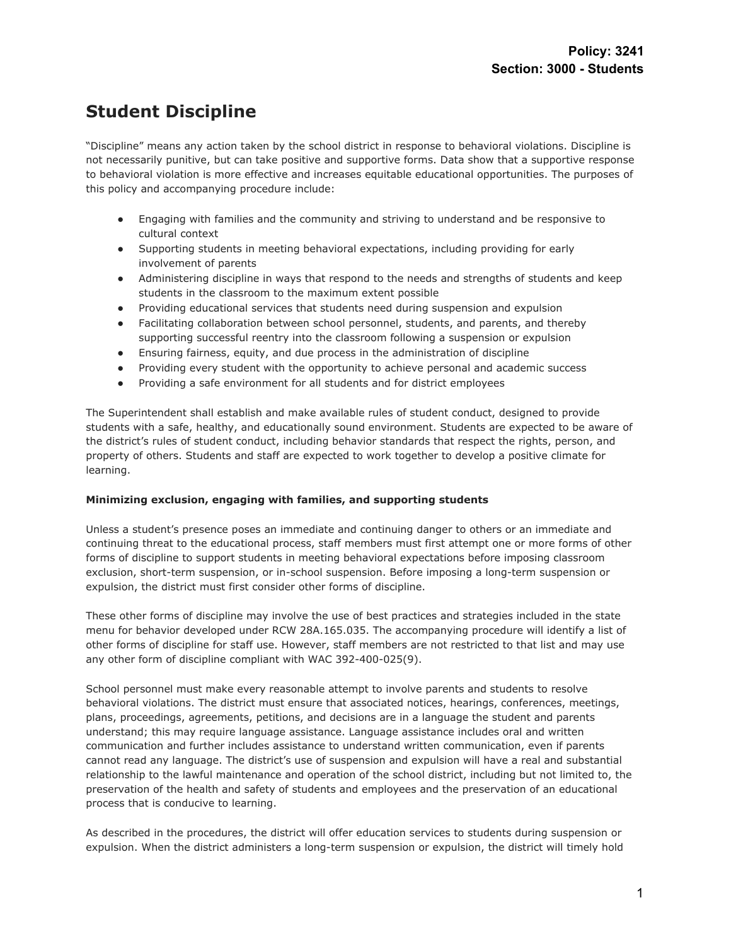# **Student Discipline**

"Discipline" means any action taken by the school district in response to behavioral violations. Discipline is not necessarily punitive, but can take positive and supportive forms. Data show that a supportive response to behavioral violation is more effective and increases equitable educational opportunities. The purposes of this policy and accompanying procedure include:

- Engaging with families and the community and striving to understand and be responsive to cultural context
- Supporting students in meeting behavioral expectations, including providing for early involvement of parents
- Administering discipline in ways that respond to the needs and strengths of students and keep students in the classroom to the maximum extent possible
- Providing educational services that students need during suspension and expulsion
- Facilitating collaboration between school personnel, students, and parents, and thereby supporting successful reentry into the classroom following a suspension or expulsion
- Ensuring fairness, equity, and due process in the administration of discipline
- Providing every student with the opportunity to achieve personal and academic success
- Providing a safe environment for all students and for district employees

The Superintendent shall establish and make available rules of student conduct, designed to provide students with a safe, healthy, and educationally sound environment. Students are expected to be aware of the district's rules of student conduct, including behavior standards that respect the rights, person, and property of others. Students and staff are expected to work together to develop a positive climate for learning.

### **Minimizing exclusion, engaging with families, and supporting students**

Unless a student's presence poses an immediate and continuing danger to others or an immediate and continuing threat to the educational process, staff members must first attempt one or more forms of other forms of discipline to support students in meeting behavioral expectations before imposing classroom exclusion, short-term suspension, or in-school suspension. Before imposing a long-term suspension or expulsion, the district must first consider other forms of discipline.

These other forms of discipline may involve the use of best practices and strategies included in the state menu for behavior developed under RCW 28A.165.035. The accompanying procedure will identify a list of other forms of discipline for staff use. However, staff members are not restricted to that list and may use any other form of discipline compliant with WAC 392-400-025(9).

School personnel must make every reasonable attempt to involve parents and students to resolve behavioral violations. The district must ensure that associated notices, hearings, conferences, meetings, plans, proceedings, agreements, petitions, and decisions are in a language the student and parents understand; this may require language assistance. Language assistance includes oral and written communication and further includes assistance to understand written communication, even if parents cannot read any language. The district's use of suspension and expulsion will have a real and substantial relationship to the lawful maintenance and operation of the school district, including but not limited to, the preservation of the health and safety of students and employees and the preservation of an educational process that is conducive to learning.

As described in the procedures, the district will offer education services to students during suspension or expulsion. When the district administers a long-term suspension or expulsion, the district will timely hold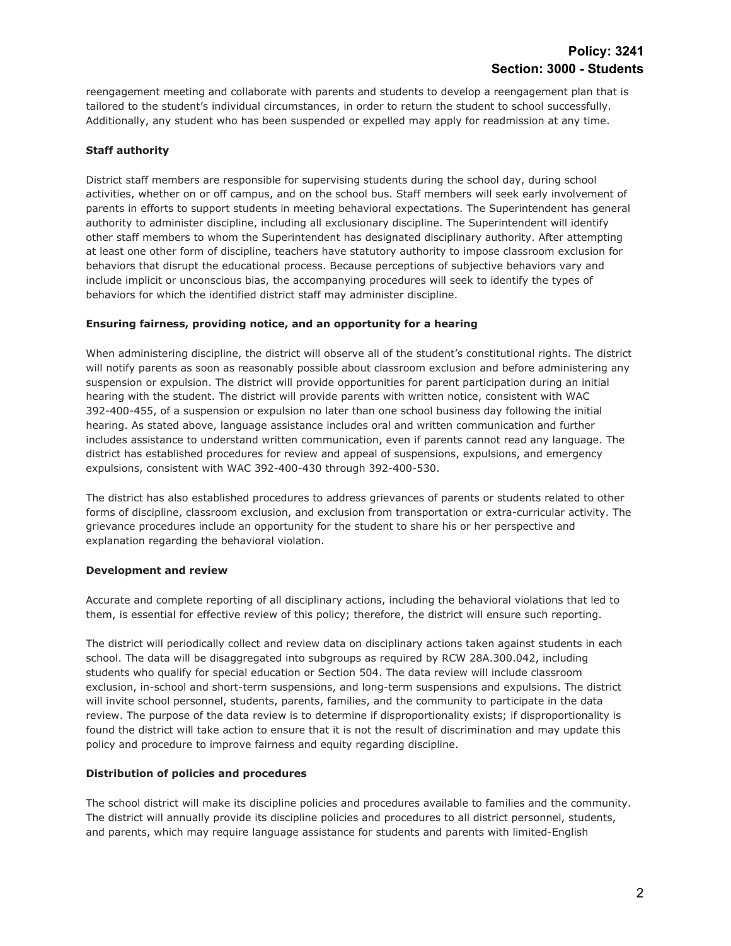reengagement meeting and collaborate with parents and students to develop a reengagement plan that is tailored to the student's individual circumstances, in order to return the student to school successfully. Additionally, any student who has been suspended or expelled may apply for readmission at any time.

## **Staff authority**

District staff members are responsible for supervising students during the school day, during school activities, whether on or off campus, and on the school bus. Staff members will seek early involvement of parents in efforts to support students in meeting behavioral expectations. The Superintendent has general authority to administer discipline, including all exclusionary discipline. The Superintendent will identify other staff members to whom the Superintendent has designated disciplinary authority. After attempting at least one other form of discipline, teachers have statutory authority to impose classroom exclusion for behaviors that disrupt the educational process. Because perceptions of subjective behaviors vary and include implicit or unconscious bias, the accompanying procedures will seek to identify the types of behaviors for which the identified district staff may administer discipline.

### **Ensuring fairness, providing notice, and an opportunity for a hearing**

When administering discipline, the district will observe all of the student's constitutional rights. The district will notify parents as soon as reasonably possible about classroom exclusion and before administering any suspension or expulsion. The district will provide opportunities for parent participation during an initial hearing with the student. The district will provide parents with written notice, consistent with WAC 392-400-455, of a suspension or expulsion no later than one school business day following the initial hearing. As stated above, language assistance includes oral and written communication and further includes assistance to understand written communication, even if parents cannot read any language. The district has established procedures for review and appeal of suspensions, expulsions, and emergency expulsions, consistent with WAC 392-400-430 through 392-400-530.

The district has also established procedures to address grievances of parents or students related to other forms of discipline, classroom exclusion, and exclusion from transportation or extra-curricular activity. The grievance procedures include an opportunity for the student to share his or her perspective and explanation regarding the behavioral violation.

### **Development and review**

Accurate and complete reporting of all disciplinary actions, including the behavioral violations that led to them, is essential for effective review of this policy; therefore, the district will ensure such reporting.

The district will periodically collect and review data on disciplinary actions taken against students in each school. The data will be disaggregated into subgroups as required by RCW 28A.300.042, including students who qualify for special education or Section 504. The data review will include classroom exclusion, in-school and short-term suspensions, and long-term suspensions and expulsions. The district will invite school personnel, students, parents, families, and the community to participate in the data review. The purpose of the data review is to determine if disproportionality exists; if disproportionality is found the district will take action to ensure that it is not the result of discrimination and may update this policy and procedure to improve fairness and equity regarding discipline.

### **Distribution of policies and procedures**

The school district will make its discipline policies and procedures available to families and the community. The district will annually provide its discipline policies and procedures to all district personnel, students, and parents, which may require language assistance for students and parents with limited-English